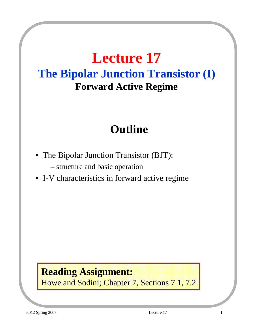# **Lecture 17 The Bipolar Junction Transistor (I) Forward Active Regime**

## **Outline**

- The Bipolar Junction Transistor (BJT):
	- structure and basic operation
- I-V characteristics in forward active regime

#### **Reading Assignment:**

Howe and Sodini; Chapter 7, Sections 7.1, 7.2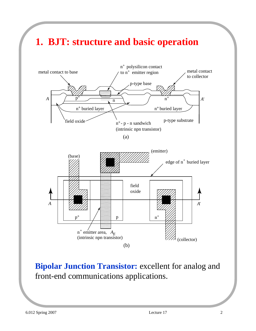

(b)

**Bipolar Junction Transistor:** excellent for analog and front-end communications applications.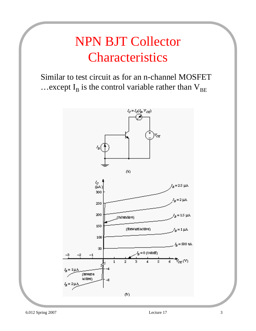# NPN BJT Collector Characteristics

Similar to test circuit as for an n-channel MOSFET ... except  $I_B$  is the control variable rather than  $V_{BE}$ 

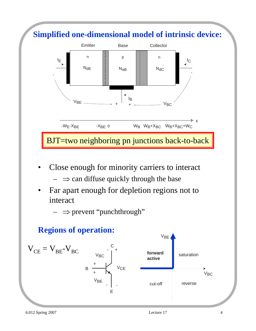

Close enough for minority carriers to interact

 $\Rightarrow$  can diffuse quickly through the base

Far apart enough for depletion regions not to interact

 $\Rightarrow$  prevent "punchthrough"

#### **Regions of operation:**

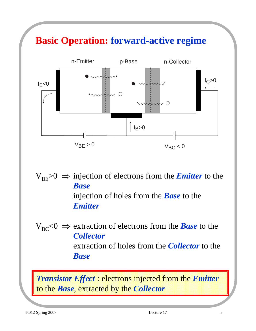## **Basic Operation: forward-active regime**



 $V_{BE}$   $> 0$   $\Rightarrow$  injection of electrons from the *Emitter* to the *Base* injection of holes from the *Base* to the *Emitter*

 $V_{BC}$ <0  $\Rightarrow$  extraction of electrons from the *Base* to the *Collector* extraction of holes from the *Collector* to the *Base*

*Transistor Effect* : electrons injected from the *Emitter* to the *Base*, extracted by the *Collector*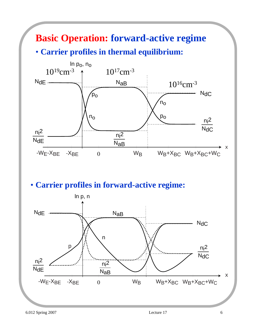# **Basic Operation: forward-active regime**

#### • **Carrier profiles in thermal equilibrium:**



#### • **Carrier profiles in forward-active regime:**

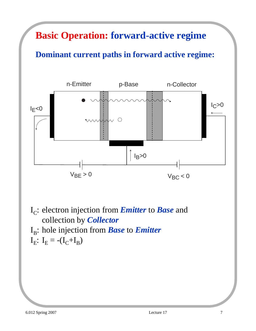### **Basic Operation: forward-active regime**

#### **Dominant current paths in forward active regime:**



- I<sub>C</sub>: electron injection from *Emitter* to *Base* and collection by *Collector*
- I<sub>B</sub>: hole injection from *Base* to *Emitter*

$$
I_E\colon\thinspace I_E=-(I_C{+}I_B)
$$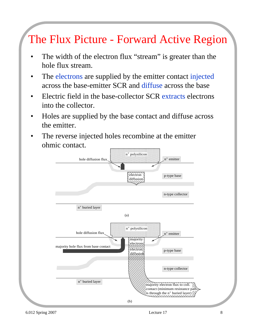## The Flux Picture - Forward Active Region

- The width of the electron flux "stream" is greater than the hole flux stream.
- The electrons are supplied by the emitter contact injected across the base-emitter SCR and diffuse across the base
- Electric field in the base-collector SCR extracts electrons into the collector.
- Holes are supplied by the base contact and diffuse across the emitter.
- The reverse injected holes recombine at the emitter ohmic contact.

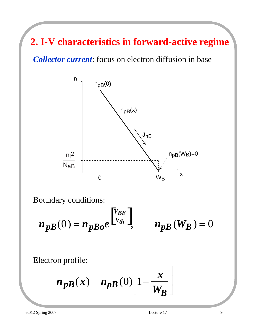**2. I-V characteristics in forward-active regime** 

*Collector current*: focus on electron diffusion in base



Boundary conditions:

$$
n_{pB}(0) = n_{pBo}e^{\begin{bmatrix}V_{BE} \\ V_{th} \end{bmatrix}}, \qquad n_{pB}(W_B) = 0
$$

Electron profile:

$$
n_{p}B(x) = n_{p}B(0) \left[ 1 - \frac{x}{W_B} \right]
$$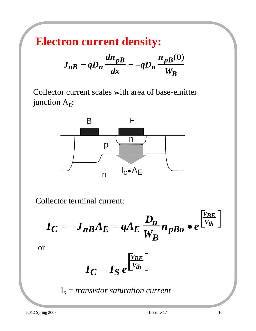**Electron current density:**

$$
J_{n} = qD_n \frac{dn_{p}}{dx} = -qD_n \frac{n_{p}}{W_B}
$$

Collector current scales with area of base-emitter junction  $A_E$ :



Collector terminal current:

$$
I_C = -J_{nB}A_E = qA_E \frac{D_n}{W_B} n_{pBo} \bullet e^{\left[\frac{V_{BE}}{V_{th}}\right]}
$$

or

$$
I_C = I_S e^{\frac{V_{BE}}{V_{th}}}.
$$

$$
I_S \equiv transition~current
$$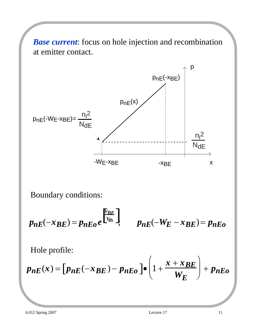*Base current*: focus on hole injection and recombination at emitter contact.



Boundary conditions:

$$
p_{nE}(-x_{BE}) = p_{nEo}e^{\begin{bmatrix}V_{BE}\\V_{th}\end{bmatrix}}, \qquad p_{nE}(-W_E - x_{BE}) = p_{nEo}
$$

Hole profile:

$$
p_{nE}(x) = [p_{nE}(-x_{BE}) - p_{nEo}] \bullet \left(1 + \frac{x + x_{BE}}{W_E}\right) + p_{nEo}
$$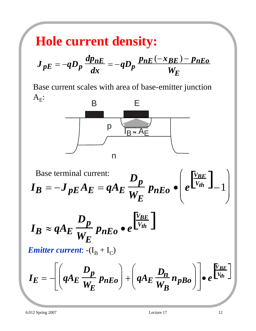## **Hole current density:**

$$
J_{pE} = -qD_p \frac{dp_{nE}}{dx} = -qD_p \frac{p_{nE}(-x_{BE}) - p_{nEo}}{W_E}
$$

Base current scales with area of base-emitter junction  $A_E$ :



Base terminal current:  
\n
$$
I_B = -J_{pE} A_E = qA_E \frac{D_p}{W_E} p_{nEo} \bullet \left( e^{\frac{V_{BE}}{V_{th}}} - 1 \right)
$$

$$
I_B \approx q A_E \frac{D_p}{W_E} p_{nEo} \bullet e^{\frac{V_{BE}}{V_{th}}}.
$$

*Emitter current*:  $-(I_B + I_C)$ 

$$
I_E = -\left[\left(qA_E \frac{D_p}{W_E} p_{nEo}\right) + \left(qA_E \frac{D_n}{W_B} n_{pBo}\right)\right] \bullet e^{\frac{V_{BE}}{V_{th}}}
$$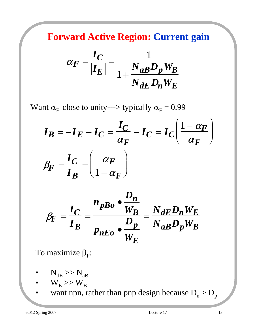**Forward Active Region: Current gain**

$$
\alpha_F = \frac{I_C}{|I_E|} = \frac{1}{1 + \frac{N_{aB}D_p W_B}{N_{dE}D_n W_E}}
$$

Want  $\alpha_F$  close to unity---> typically  $\alpha_F = 0.99$ 

$$
I_B = -I_E - I_C = \frac{I_C}{\alpha_F} - I_C = I_C \left(\frac{1 - \alpha_F}{\alpha_F}\right)
$$

$$
\beta_F = \frac{I_C}{I_B} = \left(\frac{\alpha_F}{1 - \alpha_F}\right)
$$

$$
\beta_F = \frac{I_C}{I_B} = \frac{n_{pBo} \cdot \frac{D_n}{W_B}}{p_{nEo} \cdot \frac{D_p}{W_E}} = \frac{N_{dE} D_n W_E}{N_{aB} D_p W_B}
$$

To maximize  $\beta_F$ :

$$
\bullet \qquad N_{\text{dE}} >> N_{\text{aB}}
$$

• 
$$
W_E \gg W_B
$$

want npn, rather than pnp design because  $D_n > D_p$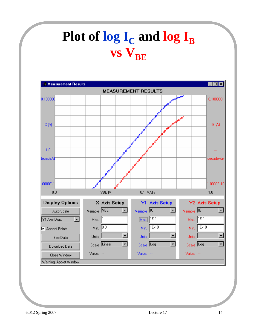# **Plot of**  $\log I_C$  **and**  $\log I_B$ vs  $V_{BE}$

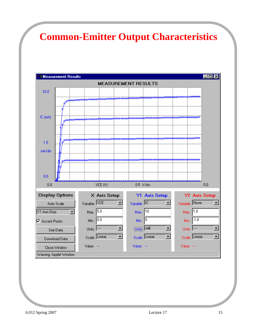#### **Common-Emitter Output Characteristics**